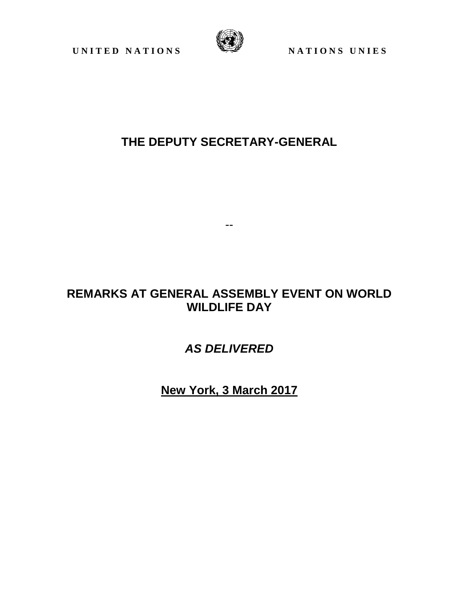UNITED NATIONS WE NATIONS UNIES



## **THE DEPUTY SECRETARY-GENERAL**

## **REMARKS AT GENERAL ASSEMBLY EVENT ON WORLD WILDLIFE DAY**

--

*AS DELIVERED*

**New York, 3 March 2017**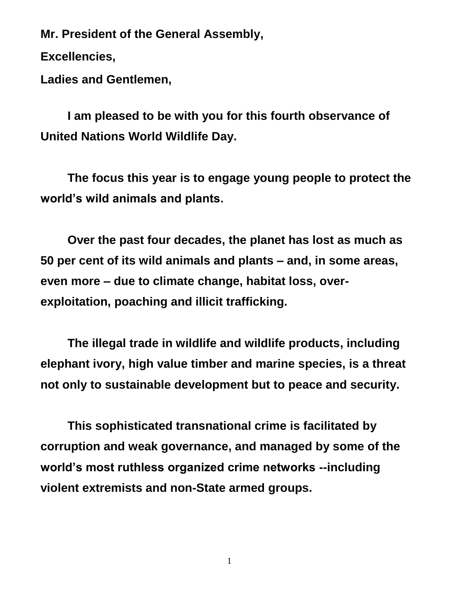**Mr. President of the General Assembly,**

**Excellencies,** 

**Ladies and Gentlemen,**

**I am pleased to be with you for this fourth observance of United Nations World Wildlife Day.**

**The focus this year is to engage young people to protect the world's wild animals and plants.** 

**Over the past four decades, the planet has lost as much as 50 per cent of its wild animals and plants – and, in some areas, even more – due to climate change, habitat loss, overexploitation, poaching and illicit trafficking.**

**The illegal trade in wildlife and wildlife products, including elephant ivory, high value timber and marine species, is a threat not only to sustainable development but to peace and security.**

**This sophisticated transnational crime is facilitated by corruption and weak governance, and managed by some of the world's most ruthless organized crime networks --including violent extremists and non-State armed groups.**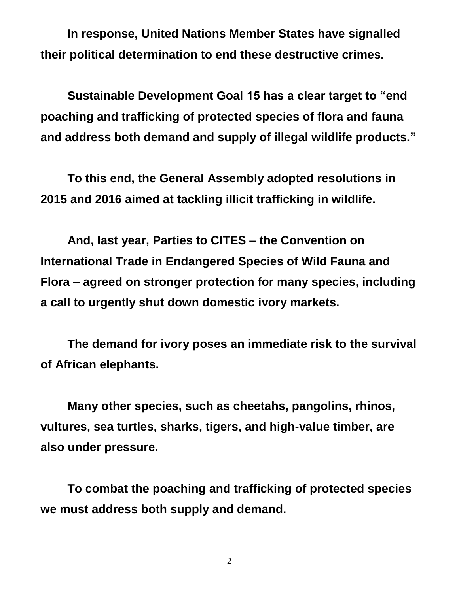**In response, United Nations Member States have signalled their political determination to end these destructive crimes.**

**Sustainable Development Goal 15 has a clear target to "end poaching and trafficking of protected species of flora and fauna and address both demand and supply of illegal wildlife products."**

**To this end, the General Assembly adopted resolutions in 2015 and 2016 aimed at tackling illicit trafficking in wildlife.**

**And, last year, Parties to CITES – the Convention on International Trade in Endangered Species of Wild Fauna and Flora – agreed on stronger protection for many species, including a call to urgently shut down domestic ivory markets.**

**The demand for ivory poses an immediate risk to the survival of African elephants.** 

**Many other species, such as cheetahs, pangolins, rhinos, vultures, sea turtles, sharks, tigers, and high-value timber, are also under pressure.**

**To combat the poaching and trafficking of protected species we must address both supply and demand.**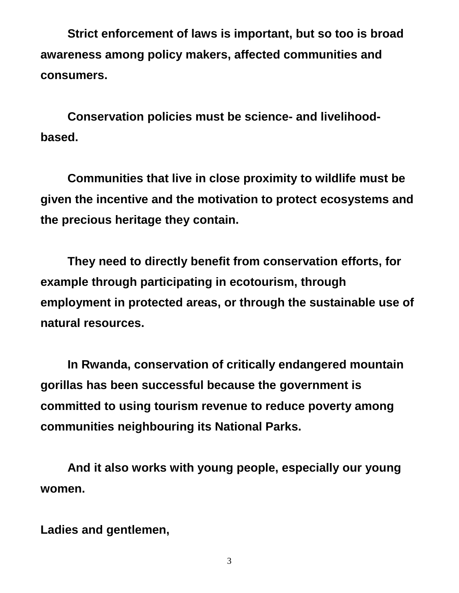**Strict enforcement of laws is important, but so too is broad awareness among policy makers, affected communities and consumers.** 

**Conservation policies must be science- and livelihoodbased.** 

**Communities that live in close proximity to wildlife must be given the incentive and the motivation to protect ecosystems and the precious heritage they contain.**

**They need to directly benefit from conservation efforts, for example through participating in ecotourism, through employment in protected areas, or through the sustainable use of natural resources.** 

**In Rwanda, conservation of critically endangered mountain gorillas has been successful because the government is committed to using tourism revenue to reduce poverty among communities neighbouring its National Parks.**

**And it also works with young people, especially our young women.**

**Ladies and gentlemen,**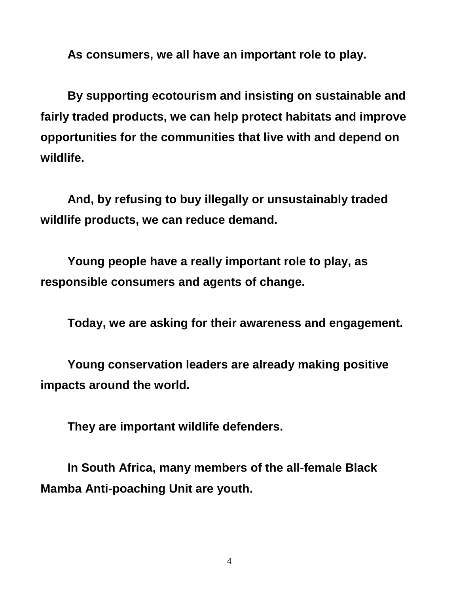**As consumers, we all have an important role to play.**

**By supporting ecotourism and insisting on sustainable and fairly traded products, we can help protect habitats and improve opportunities for the communities that live with and depend on wildlife.**

**And, by refusing to buy illegally or unsustainably traded wildlife products, we can reduce demand.**

**Young people have a really important role to play, as responsible consumers and agents of change.**

**Today, we are asking for their awareness and engagement.**

**Young conservation leaders are already making positive impacts around the world.**

**They are important wildlife defenders.**

**In South Africa, many members of the all-female Black Mamba Anti-poaching Unit are youth.**